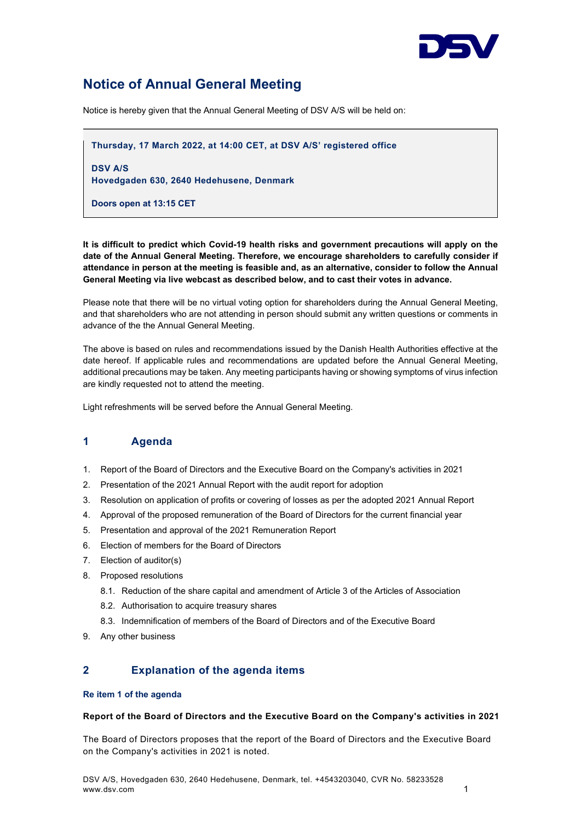

# Notice of Annual General Meeting

Notice is hereby given that the Annual General Meeting of DSV A/S will be held on:

Thursday, 17 March 2022, at 14:00 CET, at DSV A/S' registered office DSV A/S Hovedgaden 630, 2640 Hedehusene, Denmark

Doors open at 13:15 CET

It is difficult to predict which Covid-19 health risks and government precautions will apply on the date of the Annual General Meeting. Therefore, we encourage shareholders to carefully consider if attendance in person at the meeting is feasible and, as an alternative, consider to follow the Annual General Meeting via live webcast as described below, and to cast their votes in advance.

Please note that there will be no virtual voting option for shareholders during the Annual General Meeting, and that shareholders who are not attending in person should submit any written questions or comments in advance of the the Annual General Meeting.

The above is based on rules and recommendations issued by the Danish Health Authorities effective at the date hereof. If applicable rules and recommendations are updated before the Annual General Meeting, additional precautions may be taken. Any meeting participants having or showing symptoms of virus infection are kindly requested not to attend the meeting.

Light refreshments will be served before the Annual General Meeting.

# 1 Agenda

- 1. Report of the Board of Directors and the Executive Board on the Company's activities in 2021
- 2. Presentation of the 2021 Annual Report with the audit report for adoption
- 3. Resolution on application of profits or covering of losses as per the adopted 2021 Annual Report
- 4. Approval of the proposed remuneration of the Board of Directors for the current financial year
- 5. Presentation and approval of the 2021 Remuneration Report
- 6. Election of members for the Board of Directors
- 7. Election of auditor(s)
- 8. Proposed resolutions
	- 8.1. Reduction of the share capital and amendment of Article 3 of the Articles of Association
	- 8.2. Authorisation to acquire treasury shares
	- 8.3. Indemnification of members of the Board of Directors and of the Executive Board
- 9. Any other business

# 2 Explanation of the agenda items

### Re item 1 of the agenda

## Report of the Board of Directors and the Executive Board on the Company's activities in 2021

The Board of Directors proposes that the report of the Board of Directors and the Executive Board on the Company's activities in 2021 is noted.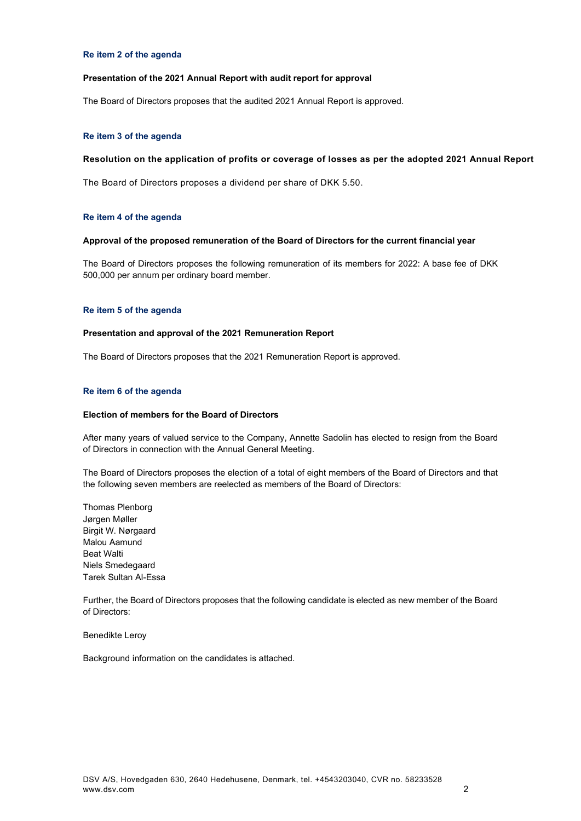#### Re item 2 of the agenda

### Presentation of the 2021 Annual Report with audit report for approval

The Board of Directors proposes that the audited 2021 Annual Report is approved.

### Re item 3 of the agenda

### Resolution on the application of profits or coverage of losses as per the adopted 2021 Annual Report

The Board of Directors proposes a dividend per share of DKK 5.50.

### Re item 4 of the agenda

### Approval of the proposed remuneration of the Board of Directors for the current financial year

The Board of Directors proposes the following remuneration of its members for 2022: A base fee of DKK 500,000 per annum per ordinary board member.

### Re item 5 of the agenda

#### Presentation and approval of the 2021 Remuneration Report

The Board of Directors proposes that the 2021 Remuneration Report is approved.

### Re item 6 of the agenda

### Election of members for the Board of Directors

After many years of valued service to the Company, Annette Sadolin has elected to resign from the Board of Directors in connection with the Annual General Meeting.

The Board of Directors proposes the election of a total of eight members of the Board of Directors and that the following seven members are reelected as members of the Board of Directors:

Thomas Plenborg Jørgen Møller Birgit W. Nørgaard Malou Aamund Beat Walti Niels Smedegaard Tarek Sultan Al-Essa

Further, the Board of Directors proposes that the following candidate is elected as new member of the Board of Directors:

Benedikte Leroy

Background information on the candidates is attached.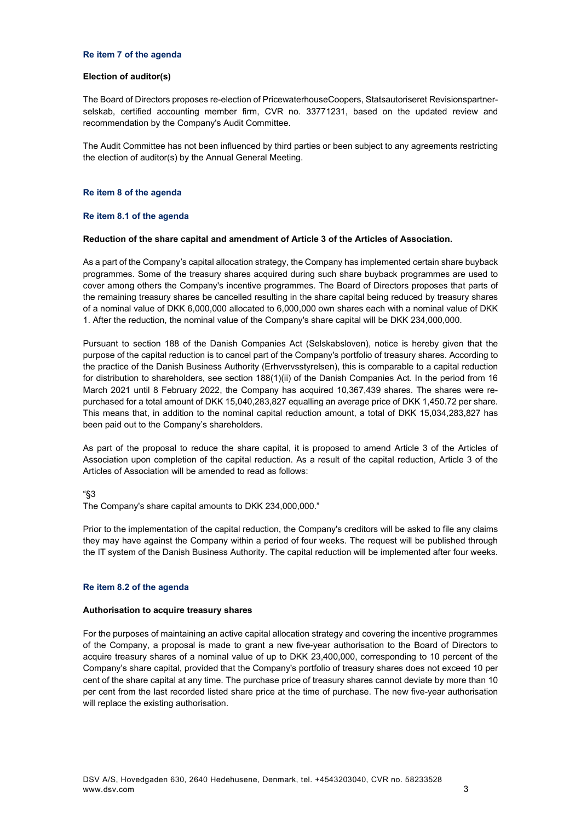### Re item 7 of the agenda

### Election of auditor(s)

The Board of Directors proposes re-election of PricewaterhouseCoopers, Statsautoriseret Revisionspartnerselskab, certified accounting member firm, CVR no. 33771231, based on the updated review and recommendation by the Company's Audit Committee.

The Audit Committee has not been influenced by third parties or been subject to any agreements restricting the election of auditor(s) by the Annual General Meeting.

### Re item 8 of the agenda

### Re item 8.1 of the agenda

### Reduction of the share capital and amendment of Article 3 of the Articles of Association.

As a part of the Company's capital allocation strategy, the Company has implemented certain share buyback programmes. Some of the treasury shares acquired during such share buyback programmes are used to cover among others the Company's incentive programmes. The Board of Directors proposes that parts of the remaining treasury shares be cancelled resulting in the share capital being reduced by treasury shares of a nominal value of DKK 6,000,000 allocated to 6,000,000 own shares each with a nominal value of DKK 1. After the reduction, the nominal value of the Company's share capital will be DKK 234,000,000.

Pursuant to section 188 of the Danish Companies Act (Selskabsloven), notice is hereby given that the purpose of the capital reduction is to cancel part of the Company's portfolio of treasury shares. According to the practice of the Danish Business Authority (Erhvervsstyrelsen), this is comparable to a capital reduction for distribution to shareholders, see section 188(1)(ii) of the Danish Companies Act. In the period from 16 March 2021 until 8 February 2022, the Company has acquired 10,367,439 shares. The shares were repurchased for a total amount of DKK 15,040,283,827 equalling an average price of DKK 1,450.72 per share. This means that, in addition to the nominal capital reduction amount, a total of DKK 15,034,283,827 has been paid out to the Company's shareholders.

As part of the proposal to reduce the share capital, it is proposed to amend Article 3 of the Articles of Association upon completion of the capital reduction. As a result of the capital reduction, Article 3 of the Articles of Association will be amended to read as follows:

"§3

The Company's share capital amounts to DKK 234,000,000."

Prior to the implementation of the capital reduction, the Company's creditors will be asked to file any claims they may have against the Company within a period of four weeks. The request will be published through the IT system of the Danish Business Authority. The capital reduction will be implemented after four weeks.

### Re item 8.2 of the agenda

### Authorisation to acquire treasury shares

For the purposes of maintaining an active capital allocation strategy and covering the incentive programmes of the Company, a proposal is made to grant a new five-year authorisation to the Board of Directors to acquire treasury shares of a nominal value of up to DKK 23,400,000, corresponding to 10 percent of the Company's share capital, provided that the Company's portfolio of treasury shares does not exceed 10 per cent of the share capital at any time. The purchase price of treasury shares cannot deviate by more than 10 per cent from the last recorded listed share price at the time of purchase. The new five-year authorisation will replace the existing authorisation.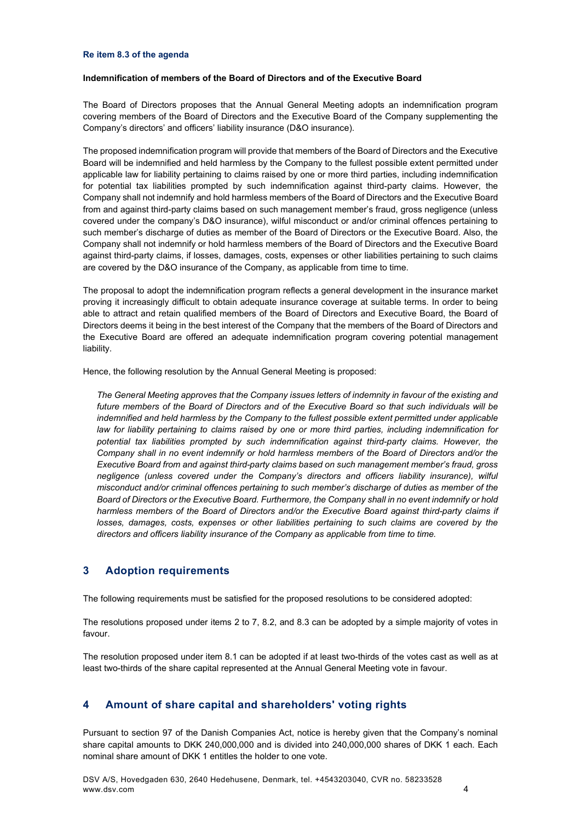#### Re item 8.3 of the agenda

# Indemnification of members of the Board of Directors and of the Executive Board

The Board of Directors proposes that the Annual General Meeting adopts an indemnification program covering members of the Board of Directors and the Executive Board of the Company supplementing the Company's directors' and officers' liability insurance (D&O insurance).

The proposed indemnification program will provide that members of the Board of Directors and the Executive Board will be indemnified and held harmless by the Company to the fullest possible extent permitted under applicable law for liability pertaining to claims raised by one or more third parties, including indemnification for potential tax liabilities prompted by such indemnification against third-party claims. However, the Company shall not indemnify and hold harmless members of the Board of Directors and the Executive Board from and against third-party claims based on such management member's fraud, gross negligence (unless covered under the company's D&O insurance), wilful misconduct or and/or criminal offences pertaining to such member's discharge of duties as member of the Board of Directors or the Executive Board. Also, the Company shall not indemnify or hold harmless members of the Board of Directors and the Executive Board against third-party claims, if losses, damages, costs, expenses or other liabilities pertaining to such claims are covered by the D&O insurance of the Company, as applicable from time to time.

The proposal to adopt the indemnification program reflects a general development in the insurance market proving it increasingly difficult to obtain adequate insurance coverage at suitable terms. In order to being able to attract and retain qualified members of the Board of Directors and Executive Board, the Board of Directors deems it being in the best interest of the Company that the members of the Board of Directors and the Executive Board are offered an adequate indemnification program covering potential management liability.

Hence, the following resolution by the Annual General Meeting is proposed:

The General Meeting approves that the Company issues letters of indemnity in favour of the existing and future members of the Board of Directors and of the Executive Board so that such individuals will be indemnified and held harmless by the Company to the fullest possible extent permitted under applicable law for liability pertaining to claims raised by one or more third parties, including indemnification for potential tax liabilities prompted by such indemnification against third-party claims. However, the Company shall in no event indemnify or hold harmless members of the Board of Directors and/or the Executive Board from and against third-party claims based on such management member's fraud, gross negligence (unless covered under the Company's directors and officers liability insurance), wilful misconduct and/or criminal offences pertaining to such member's discharge of duties as member of the Board of Directors or the Executive Board. Furthermore, the Company shall in no event indemnify or hold harmless members of the Board of Directors and/or the Executive Board against third-party claims if losses, damages, costs, expenses or other liabilities pertaining to such claims are covered by the directors and officers liability insurance of the Company as applicable from time to time.

# 3 Adoption requirements

The following requirements must be satisfied for the proposed resolutions to be considered adopted:

The resolutions proposed under items 2 to 7, 8.2, and 8.3 can be adopted by a simple majority of votes in favour.

The resolution proposed under item 8.1 can be adopted if at least two-thirds of the votes cast as well as at least two-thirds of the share capital represented at the Annual General Meeting vote in favour.

# 4 Amount of share capital and shareholders' voting rights

Pursuant to section 97 of the Danish Companies Act, notice is hereby given that the Company's nominal share capital amounts to DKK 240,000,000 and is divided into 240,000,000 shares of DKK 1 each. Each nominal share amount of DKK 1 entitles the holder to one vote.

DSV A/S, Hovedgaden 630, 2640 Hedehusene, Denmark, tel. +4543203040, CVR no. 58233528 www.dsv.com 4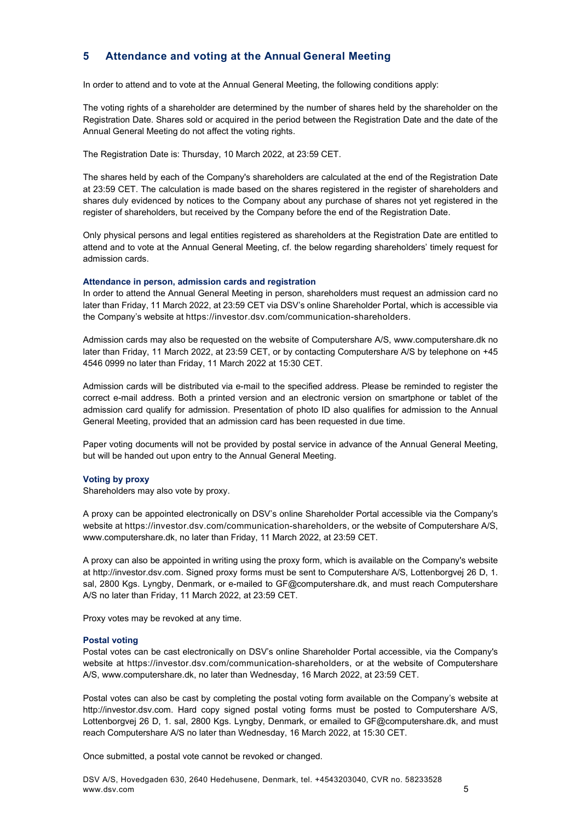# 5 Attendance and voting at the Annual General Meeting

In order to attend and to vote at the Annual General Meeting, the following conditions apply:

The voting rights of a shareholder are determined by the number of shares held by the shareholder on the Registration Date. Shares sold or acquired in the period between the Registration Date and the date of the Annual General Meeting do not affect the voting rights.

The Registration Date is: Thursday, 10 March 2022, at 23:59 CET.

The shares held by each of the Company's shareholders are calculated at the end of the Registration Date at 23:59 CET. The calculation is made based on the shares registered in the register of shareholders and shares duly evidenced by notices to the Company about any purchase of shares not yet registered in the register of shareholders, but received by the Company before the end of the Registration Date.

Only physical persons and legal entities registered as shareholders at the Registration Date are entitled to attend and to vote at the Annual General Meeting, cf. the below regarding shareholders' timely request for admission cards.

### Attendance in person, admission cards and registration

In order to attend the Annual General Meeting in person, shareholders must request an admission card no later than Friday, 11 March 2022, at 23:59 CET via DSV's online Shareholder Portal, which is accessible via the Company's website at https://investor.dsv.com/communication-shareholders.

Admission cards may also be requested on the website of Computershare A/S, www.computershare.dk no later than Friday, 11 March 2022, at 23:59 CET, or by contacting Computershare A/S by telephone on +45 4546 0999 no later than Friday, 11 March 2022 at 15:30 CET.

Admission cards will be distributed via e-mail to the specified address. Please be reminded to register the correct e-mail address. Both a printed version and an electronic version on smartphone or tablet of the admission card qualify for admission. Presentation of photo ID also qualifies for admission to the Annual General Meeting, provided that an admission card has been requested in due time.

Paper voting documents will not be provided by postal service in advance of the Annual General Meeting, but will be handed out upon entry to the Annual General Meeting.

## Voting by proxy

Shareholders may also vote by proxy.

A proxy can be appointed electronically on DSV's online Shareholder Portal accessible via the Company's website at https://investor.dsv.com/communication-shareholders, or the website of Computershare A/S, www.computershare.dk, no later than Friday, 11 March 2022, at 23:59 CET.

A proxy can also be appointed in writing using the proxy form, which is available on the Company's website at http://investor.dsv.com. Signed proxy forms must be sent to Computershare A/S, Lottenborgvej 26 D, 1. sal, 2800 Kgs. Lyngby, Denmark, or e-mailed to GF@computershare.dk, and must reach Computershare A/S no later than Friday, 11 March 2022, at 23:59 CET.

Proxy votes may be revoked at any time.

### Postal voting

Postal votes can be cast electronically on DSV's online Shareholder Portal accessible, via the Company's website at https://investor.dsv.com/communication-shareholders, or at the website of Computershare A/S, www.computershare.dk, no later than Wednesday, 16 March 2022, at 23:59 CET.

Postal votes can also be cast by completing the postal voting form available on the Company's website at http://investor.dsv.com. Hard copy signed postal voting forms must be posted to Computershare A/S, Lottenborgvej 26 D, 1. sal, 2800 Kgs. Lyngby, Denmark, or emailed to GF@computershare.dk, and must reach Computershare A/S no later than Wednesday, 16 March 2022, at 15:30 CET.

Once submitted, a postal vote cannot be revoked or changed.

DSV A/S, Hovedgaden 630, 2640 Hedehusene, Denmark, tel. +4543203040, CVR no. 58233528 www.dsv.com 5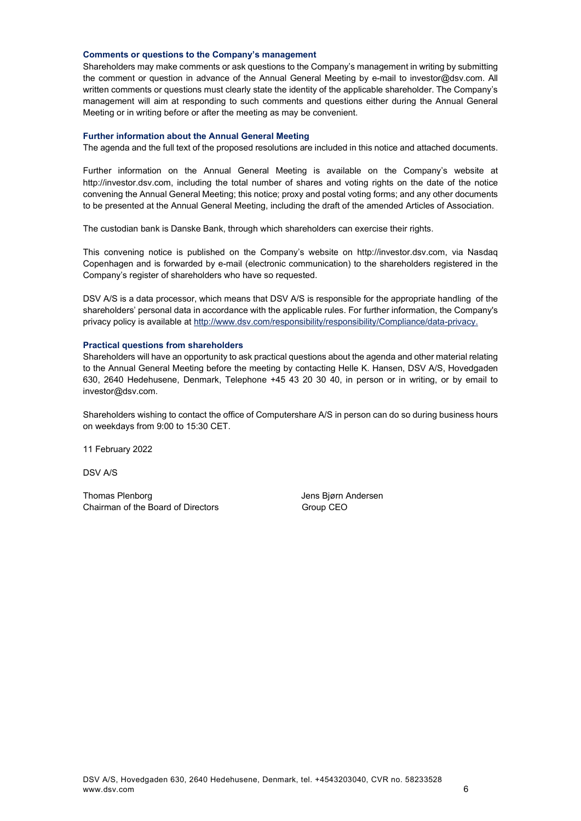### Comments or questions to the Company's management

Shareholders may make comments or ask questions to the Company's management in writing by submitting the comment or question in advance of the Annual General Meeting by e-mail to investor@dsv.com. All written comments or questions must clearly state the identity of the applicable shareholder. The Company's management will aim at responding to such comments and questions either during the Annual General Meeting or in writing before or after the meeting as may be convenient.

### Further information about the Annual General Meeting

The agenda and the full text of the proposed resolutions are included in this notice and attached documents.

Further information on the Annual General Meeting is available on the Company's website at http://investor.dsv.com, including the total number of shares and voting rights on the date of the notice convening the Annual General Meeting; this notice; proxy and postal voting forms; and any other documents to be presented at the Annual General Meeting, including the draft of the amended Articles of Association.

The custodian bank is Danske Bank, through which shareholders can exercise their rights.

This convening notice is published on the Company's website on http://investor.dsv.com, via Nasdaq Copenhagen and is forwarded by e-mail (electronic communication) to the shareholders registered in the Company's register of shareholders who have so requested.

DSV A/S is a data processor, which means that DSV A/S is responsible for the appropriate handling of the shareholders' personal data in accordance with the applicable rules. For further information, the Company's privacy policy is available at http://www.dsv.com/responsibility/responsibility/Compliance/data-privacy.

### Practical questions from shareholders

Shareholders will have an opportunity to ask practical questions about the agenda and other material relating to the Annual General Meeting before the meeting by contacting Helle K. Hansen, DSV A/S, Hovedgaden 630, 2640 Hedehusene, Denmark, Telephone +45 43 20 30 40, in person or in writing, or by email to investor@dsv.com.

Shareholders wishing to contact the office of Computershare A/S in person can do so during business hours on weekdays from 9:00 to 15:30 CET.

11 February 2022

DSV A/S

Thomas Plenborg **Verborg Andersen** Jens Bjørn Andersen Chairman of the Board of Directors Group CEO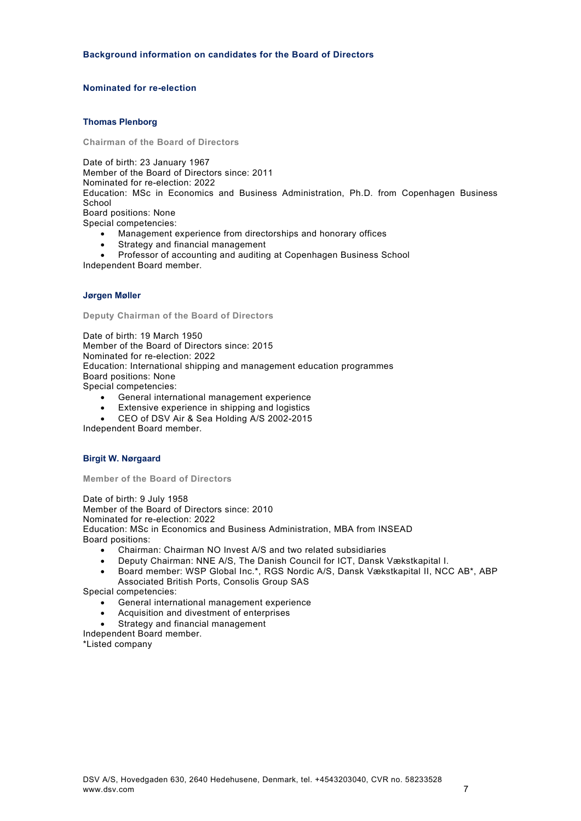### Background information on candidates for the Board of Directors

### Nominated for re-election

### Thomas Plenborg

Chairman of the Board of Directors

Date of birth: 23 January 1967 Member of the Board of Directors since: 2011 Nominated for re-election: 2022 Education: MSc in Economics and Business Administration, Ph.D. from Copenhagen Business School Board positions: None Special competencies:

- Management experience from directorships and honorary offices
- Strategy and financial management
- Professor of accounting and auditing at Copenhagen Business School

Independent Board member.

### Jørgen Møller

Deputy Chairman of the Board of Directors

Date of birth: 19 March 1950 Member of the Board of Directors since: 2015 Nominated for re-election: 2022 Education: International shipping and management education programmes Board positions: None Special competencies:

- General international management experience
- Extensive experience in shipping and logistics
- CEO of DSV Air & Sea Holding A/S 2002-2015

Independent Board member.

## Birgit W. Nørgaard

Member of the Board of Directors

Date of birth: 9 July 1958 Member of the Board of Directors since: 2010 Nominated for re-election: 2022 Education: MSc in Economics and Business Administration, MBA from INSEAD Board positions:

- Chairman: Chairman NO Invest A/S and two related subsidiaries
- Deputy Chairman: NNE A/S, The Danish Council for ICT, Dansk Vækstkapital I.
- Board member: WSP Global Inc.\*, RGS Nordic A/S, Dansk Vækstkapital II, NCC AB\*, ABP Associated British Ports, Consolis Group SAS

Special competencies:

- General international management experience
- Acquisition and divestment of enterprises
- Strategy and financial management
- Independent Board member.

\*Listed company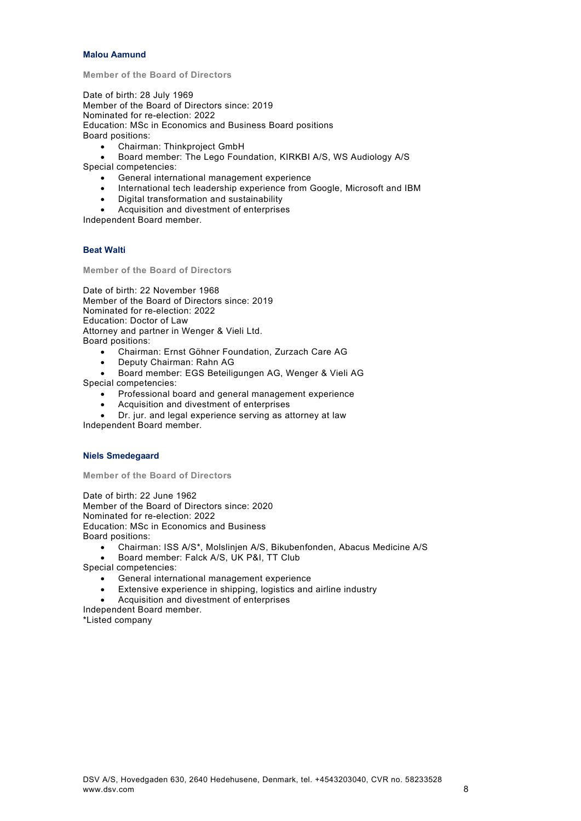### Malou Aamund

Member of the Board of Directors

Date of birth: 28 July 1969 Member of the Board of Directors since: 2019 Nominated for re-election: 2022 Education: MSc in Economics and Business Board positions Board positions:

- Chairman: Thinkproject GmbH
- Board member: The Lego Foundation, KIRKBI A/S, WS Audiology A/S
- Special competencies:
	- General international management experience
	- International tech leadership experience from Google, Microsoft and IBM
	- Digital transformation and sustainability
	- Acquisition and divestment of enterprises

Independent Board member.

# Beat Walti

Member of the Board of Directors

Date of birth: 22 November 1968 Member of the Board of Directors since: 2019 Nominated for re-election: 2022 Education: Doctor of Law Attorney and partner in Wenger & Vieli Ltd. Board positions:

- Chairman: Ernst Göhner Foundation, Zurzach Care AG
- Deputy Chairman: Rahn AG
- Board member: EGS Beteiligungen AG, Wenger & Vieli AG

Special competencies:

- Professional board and general management experience
- Acquisition and divestment of enterprises
- Dr. jur. and legal experience serving as attorney at law

Independent Board member.

## Niels Smedegaard

Member of the Board of Directors

Date of birth: 22 June 1962 Member of the Board of Directors since: 2020 Nominated for re-election: 2022 Education: MSc in Economics and Business Board positions:

- Chairman: ISS A/S\*, Molslinjen A/S, Bikubenfonden, Abacus Medicine A/S
- Board member: Falck A/S, UK P&I, TT Club
- Special competencies:
	- General international management experience
	- Extensive experience in shipping, logistics and airline industry
	- Acquisition and divestment of enterprises
- Independent Board member.

\*Listed company